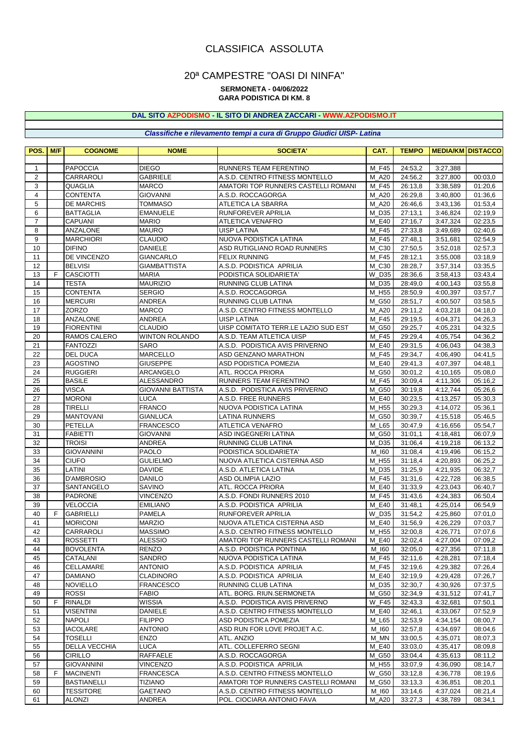# CLASSIFICA ASSOLUTA

#### 20ª CAMPESTRE "OASI DI NINFA"

### **SERMONETA - 04/06/2022**

## **GARA PODISTICA DI KM. 8**

#### **DAL SITO AZPODISMO - IL SITO DI ANDREA ZACCARI - [WWW.AZPODISMO.IT](http://www.azpodismo.it)**

| Classifiche e rilevamento tempi a cura di Gruppo Giudici UISP- Latina |     |                                   |                                    |                                                                  |                       |                    |                          |                    |  |
|-----------------------------------------------------------------------|-----|-----------------------------------|------------------------------------|------------------------------------------------------------------|-----------------------|--------------------|--------------------------|--------------------|--|
| POS.                                                                  | M/F | <b>COGNOME</b>                    | <b>NOME</b>                        | <b>SOCIETA'</b>                                                  | CAT.                  | <b>TEMPO</b>       | <b>MEDIA/KM DISTACCO</b> |                    |  |
|                                                                       |     |                                   |                                    |                                                                  |                       |                    |                          |                    |  |
| $\mathbf{1}$                                                          |     | <b>PAPOCCIA</b>                   | <b>DIEGO</b>                       | RUNNERS TEAM FERENTINO                                           | M F45                 | 24:53,2            | 3:27,388                 |                    |  |
| 2                                                                     |     | CARRAROLI                         | <b>GABRIELE</b>                    | A.S.D. CENTRO FITNESS MONTELLO                                   | M A20                 | 24:56,2            | 3:27,800                 | 00:03,0            |  |
| 3                                                                     |     | QUAGLIA                           | <b>MARCO</b>                       | AMATORI TOP RUNNERS CASTELLI ROMANI                              | M F45                 | 26:13,8            | 3:38,589                 | 01:20,6            |  |
| $\overline{4}$                                                        |     | <b>CONTENTA</b>                   | <b>GIOVANNI</b>                    | A.S.D. ROCCAGORGA                                                | M A20                 | 26:29,8            | 3:40,800                 | 01:36,6            |  |
| 5                                                                     |     | DE MARCHIS                        | <b>TOMMASO</b>                     | ATLETICA LA SBARRA                                               | M A20                 | 26:46,6            | 3:43,136                 | 01:53,4            |  |
| 6                                                                     |     | BATTAGLIA                         | <b>EMANUELE</b>                    | RUNFOREVER APRILIA                                               | M D35                 | 27:13,1            | 3:46,824                 | 02:19,9            |  |
| $\overline{7}$                                                        |     | CAPUANI                           | <b>MARIO</b>                       | <b>ATLETICA VENAFRO</b>                                          | M E40                 | 27:16,7            | 3:47,324                 | 02:23,5            |  |
| 8                                                                     |     | <b>ANZALONE</b>                   | <b>MAURO</b>                       | <b>UISP LATINA</b>                                               | M F45                 | 27:33,8            | 3:49,689                 | 02:40,6            |  |
| 9                                                                     |     | <b>MARCHIORI</b>                  | <b>CLAUDIO</b>                     | NUOVA PODISTICA LATINA                                           | M F45                 | 27:48,1            | 3:51,681                 | 02:54,9            |  |
| 10                                                                    |     | <b>DIFINO</b>                     | DANIELE                            | ASD RUTIGLIANO ROAD RUNNERS                                      | M C30                 | 27:50,5            | 3:52,018                 | 02:57,3            |  |
| 11                                                                    |     | DE VINCENZO                       | <b>GIANCARLO</b>                   | <b>FELIX RUNNING</b>                                             | M F45                 | 28:12,1            | 3:55,008                 | 03:18,9            |  |
| 12                                                                    |     | <b>BELVISI</b>                    | <b>GIAMBATTISTA</b>                | A.S.D. PODISTICA APRILIA                                         | M C30                 | 28:28,7            | 3:57,314                 | 03:35,5            |  |
| 13                                                                    | F   | <b>CASCIOTTI</b>                  | <b>MARIA</b>                       | PODISTICA SOLIDARIETA'                                           | W D35                 | 28:36,6            | 3:58,413                 | 03:43,4            |  |
| 14                                                                    |     | TESTA                             | <b>MAURIZIO</b>                    | RUNNING CLUB LATINA                                              | M D35                 | 28:49,0            | 4:00,143                 | 03:55,8            |  |
| 15                                                                    |     | <b>CONTENTA</b>                   | <b>SERGIO</b>                      | A.S.D. ROCCAGORGA                                                | M H55                 | 28:50,9            | 4:00,397                 | 03:57,7            |  |
| 16                                                                    |     | <b>MERCURI</b>                    | ANDREA                             | RUNNING CLUB LATINA                                              | M G50                 | 28:51,7            | 4:00,507                 | 03:58,5            |  |
| 17                                                                    |     | ZORZO                             | <b>MARCO</b>                       | A.S.D. CENTRO FITNESS MONTELLO                                   | M A20                 | 29:11,2            | 4:03,218                 | 04:18,0            |  |
| 18                                                                    |     | ANZALONE                          | ANDREA                             | UISP LATINA                                                      | M F45                 | 29:19,5            | 4:04,371                 | 04:26,3            |  |
| 19                                                                    |     | <b>FIORENTINI</b>                 | <b>CLAUDIO</b>                     | UISP COMITATO TERR.LE LAZIO SUD EST                              | M_G50                 | 29:25,7            | 4:05,231                 | 04:32,5            |  |
| 20                                                                    |     | RAMOS CALERO                      | <b>WINTON ROLANDO</b>              | A.S.D. TEAM ATLETICA UISP                                        | M F45                 | 29:29,4            | 4:05,754                 | 04:36,2            |  |
| 21                                                                    |     | <b>FANTOZZI</b>                   | SARO                               | A.S.D. PODISTICA AVIS PRIVERNO                                   | M E40                 | 29:31,5            | 4:06,043                 | 04:38,3            |  |
| 22                                                                    |     | DEL DUCA                          | MARCELLO                           | ASD GENZANO MARATHON                                             | M_F45                 | 29:34,7            | 4:06,490                 | 04:41,5            |  |
| 23                                                                    |     | <b>AGOSTINO</b>                   | <b>GIUSEPPE</b>                    | ASD PODISTICA POMEZIA                                            | M E40                 | 29:41.3            | 4:07,397                 | 04:48,1            |  |
| 24                                                                    |     | <b>RUGGIERI</b>                   | ARCANGELO                          | ATL. ROCCA PRIORA                                                | M G50                 | 30:01,2            | 4:10,165                 | 05:08,0            |  |
| 25                                                                    |     | <b>BASILE</b>                     | ALESSANDRO                         | RUNNERS TEAM FERENTINO                                           | M_F45                 | 30:09,4            | 4:11,306                 | 05:16,2            |  |
| 26                                                                    |     | <b>VISCA</b>                      | <b>GIOVANNI BATTISTA</b>           | A.S.D. PODISTICA AVIS PRIVERNO                                   | M G50                 | 30:19,8            | 4:12,744                 | 05:26.6            |  |
| 27                                                                    |     | <b>MORONI</b>                     | <b>LUCA</b>                        | A.S.D. FREE RUNNERS                                              | M E40                 | 30:23,5            | 4:13,257                 | 05:30,3            |  |
| 28                                                                    |     | <b>TIRELLI</b>                    | <b>FRANCO</b>                      | NUOVA PODISTICA LATINA                                           | M_H55                 | 30:29,3            | 4:14,072                 | 05:36,1            |  |
| 29                                                                    |     | <b>MANTOVANI</b>                  | <b>GIANLUCA</b>                    | <b>LATINA RUNNERS</b>                                            | M G50                 | 30:39,7            | 4:15,518                 | 05:46,5            |  |
| 30                                                                    |     | <b>PETELLA</b>                    | <b>FRANCESCO</b>                   | <b>ATLETICA VENAFRO</b>                                          | M L65                 | 30:47,9            | 4:16,656                 | 05:54,7            |  |
| 31                                                                    |     | <b>FABIETTI</b>                   | <b>GIOVANNI</b>                    | ASD INGEGNERI LATINA                                             | M_G50                 | 31:01,1            | 4:18,481                 | 06:07,9            |  |
| 32                                                                    |     | <b>TROISI</b>                     | <b>ANDREA</b>                      | RUNNING CLUB LATINA                                              | M D35                 | 31:06,4            | 4:19,218                 | 06:13,2            |  |
| 33                                                                    |     | <b>GIOVANNINI</b>                 | <b>PAOLO</b>                       | PODISTICA SOLIDARIETA'                                           | M 160                 | 31:08,4            | 4:19,496                 | 06:15,2            |  |
| 34                                                                    |     | <b>CIUFO</b>                      | <b>GULIELMO</b>                    | NUOVA ATLETICA CISTERNA ASD                                      | M_H55                 | 31:18,4            | 4:20,893                 | 06:25,2            |  |
| 35                                                                    |     | LATINI                            | <b>DAVIDE</b>                      | A.S.D. ATLETICA LATINA                                           | M D35                 | 31:25,9            | 4:21,935                 | 06:32,7            |  |
| 36                                                                    |     | D'AMBROSIO                        | <b>DANILO</b>                      | ASD OLIMPIA LAZIO                                                | M F45                 | 31:31.6            | 4:22,728                 | 06:38,5            |  |
| 37                                                                    |     | SANTANGELO                        | SAVINO                             | ATL. ROCCA PRIORA                                                | M_E40                 | 31:33,9            | 4:23,043                 | 06:40,7            |  |
| 38                                                                    |     | <b>PADRONE</b>                    | <b>VINCENZO</b>                    | A.S.D. FONDI RUNNERS 2010                                        | M F45                 | 31:43,6            | 4:24,383                 | 06:50,4            |  |
| 39                                                                    |     | VELOCCIA                          | <b>EMILIANO</b>                    | A.S.D. PODISTICA APRILIA                                         | M E40                 | 31:48,1            | 4:25,014                 | 06:54,9            |  |
| 40                                                                    | F   | <b>GABRIELLI</b>                  | PAMELA                             | RUNFOREVER APRILIA                                               | W D35                 | 31:54,2            | 4:25,860                 | 07:01,0            |  |
| 41                                                                    |     | <b>MORICONI</b>                   | <b>MARZIO</b>                      | NUOVA ATLETICA CISTERNA ASD                                      | M E40                 | 31:56,9            | 4:26,229                 | 07:03,7            |  |
| 42                                                                    |     | <b>CARRAROLI</b>                  | <b>MASSIMO</b>                     | A.S.D. CENTRO FITNESS MONTELLO                                   | M_H55                 | 32:00,8            | 4:26,771                 | 07:07,6            |  |
| 43<br>44                                                              |     | ROSSETTI                          | <b>ALESSIO</b><br><b>RENZO</b>     | AMATORI TOP RUNNERS CASTELLI ROMANI<br>A.S.D. PODISTICA PONTINIA | M_E40<br>M 160        | 32:02,4            | 4:27,004<br>4:27,356     | 07:09,2            |  |
|                                                                       |     | <b>BOVOLENTA</b>                  |                                    | NUOVA PODISTICA LATINA                                           |                       | 32:05,0            |                          | 07:11,8            |  |
| 45                                                                    |     | CATALANI                          | SANDRO                             |                                                                  | M F45                 | 32:11,6            | 4:28,281                 | 07:18,4            |  |
| 46<br>47                                                              |     | CELLAMARE<br><b>DAMIANO</b>       | <b>ANTONIO</b><br><b>CLADINORO</b> | A.S.D. PODISTICA APRILIA<br>A.S.D. PODISTICA APRILIA             | M_F45<br>M E40        | 32:19,6            | 4:29,382                 | 07:26,4            |  |
|                                                                       |     |                                   |                                    |                                                                  |                       | 32:19,9            | 4:29,428                 | 07:26,7            |  |
| 48                                                                    |     | <b>NOVIELLO</b>                   | <b>FRANCESCO</b>                   | RUNNING CLUB LATINA                                              | M D35                 | 32:30,7            | 4:30,926                 | 07:37,5            |  |
| 49<br>50                                                              | F   | <b>ROSSI</b><br><b>RINALDI</b>    | <b>FABIO</b><br><b>WISSIA</b>      | ATL. BORG. RIUN.SERMONETA<br>A.S.D. PODISTICA AVIS PRIVERNO      | M_G50<br><b>W F45</b> | 32:34,9<br>32:43,3 | 4:31,512<br>4:32,681     | 07:41,7<br>07:50,1 |  |
|                                                                       |     |                                   | <b>DANIELE</b>                     |                                                                  | M E40                 |                    | 4:33,067                 |                    |  |
| 51<br>52                                                              |     | <b>VISENTINI</b><br><b>NAPOLI</b> | <b>FILIPPO</b>                     | A.S.D. CENTRO FITNESS MONTELLO<br>ASD PODISTICA POMEZIA          |                       | 32:46,1<br>32:53,9 |                          | 07:52,9            |  |
| 53                                                                    |     | <b>IACOLARE</b>                   | ANTONIO                            | ASD RUN FOR LOVE PROJET A.C.                                     | M_L65                 | 32:57,8            | 4:34,154<br>4:34,697     | 08:00,7<br>08:04.6 |  |
| 54                                                                    |     | TOSELLI                           | ENZO                               | ATL. ANZIO                                                       | M_I60<br>M_MN         | 33:00,5            | 4:35,071                 | 08:07,3            |  |
| 55                                                                    |     | <b>DELLA VECCHIA</b>              | LUCA                               | ATL. COLLEFERRO SEGNI                                            | M_E40                 | 33:03,0            | 4:35,417                 | 08:09,8            |  |
| 56                                                                    |     | <b>CIRILLO</b>                    | RAFFAELE                           | A.S.D. ROCCAGORGA                                                | M_G50                 | 33:04,4            | 4:35,613                 | 08:11,2            |  |
| 57                                                                    |     | <b>GIOVANNINI</b>                 | VINCENZO                           | A.S.D. PODISTICA APRILIA                                         | M H55                 | 33:07,9            | 4:36,090                 | 08:14,7            |  |
| 58                                                                    | F   | <b>MACINENTI</b>                  | <b>FRANCESCA</b>                   | A.S.D. CENTRO FITNESS MONTELLO                                   | <b>W_G50</b>          | 33:12,8            | 4:36,778                 | 08:19,6            |  |
| 59                                                                    |     | <b>BASTIANELLI</b>                | TIZIANO                            | AMATORI TOP RUNNERS CASTELLI ROMANI                              | M_G50                 | 33:13,3            | 4:36,851                 | 08:20,1            |  |
| 60                                                                    |     | <b>TESSITORE</b>                  | <b>GAETANO</b>                     | A.S.D. CENTRO FITNESS MONTELLO                                   | M_I60                 | 33:14,6            | 4:37,024                 | 08:21,4            |  |
| 61                                                                    |     | <b>ALONZI</b>                     | ANDREA                             | POL. CIOCIARA ANTONIO FAVA                                       | M_A20                 | 33:27,3            | 4:38,789                 | 08:34,1            |  |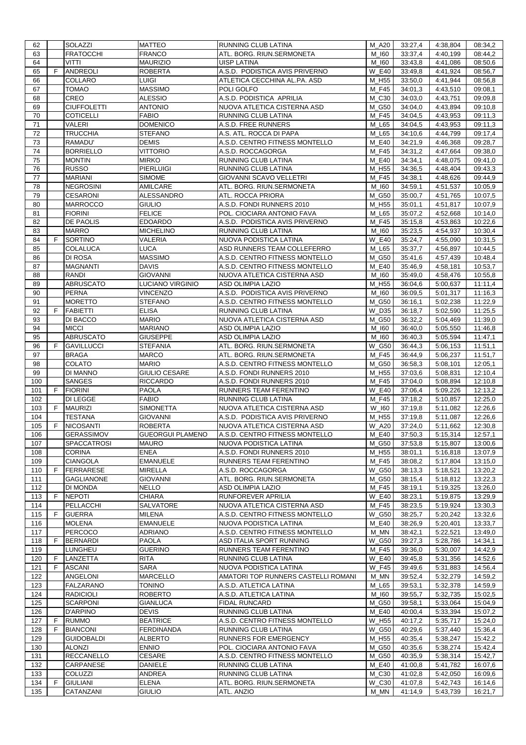| 62  |    | SOLAZZI            | <b>MATTEO</b>           | <b>RUNNING CLUB LATINA</b>          | M A20        | 33:27.4 | 4:38,804 | 08:34,2 |
|-----|----|--------------------|-------------------------|-------------------------------------|--------------|---------|----------|---------|
| 63  |    | <b>FRATOCCHI</b>   | <b>FRANCO</b>           | ATL. BORG. RIUN.SERMONETA           | M 160        | 33:37,4 | 4:40,199 | 08:44,2 |
| 64  |    | VITTI              | <b>MAURIZIO</b>         | <b>UISP LATINA</b>                  | M 160        | 33:43,8 | 4:41,086 | 08:50,6 |
|     | F. |                    | <b>ROBERTA</b>          |                                     |              |         |          |         |
| 65  |    | <b>ANDREOLI</b>    |                         | A.S.D. PODISTICA AVIS PRIVERNO      | <b>W E40</b> | 33:49,8 | 4:41,924 | 08:56,7 |
| 66  |    | <b>COLLARO</b>     | <b>LUIGI</b>            | ATLETICA CECCHINA AL.PA. ASD        | M H55        | 33:50,0 | 4:41,944 | 08:56,8 |
| 67  |    | TOMAO              | <b>MASSIMO</b>          | POLI GOLFO                          | M F45        | 34:01,3 | 4:43,510 | 09:08.1 |
| 68  |    | CREO               | <b>ALESSIO</b>          | A.S.D. PODISTICA APRILIA            | M C30        | 34:03,0 | 4:43,751 | 09:09,8 |
| 69  |    | <b>CIUFFOLETTI</b> | <b>ANTONIO</b>          | NUOVA ATLETICA CISTERNA ASD         | M G50        | 34:04,0 | 4:43,894 | 09:10,8 |
| 70  |    | <b>COTICELLI</b>   | <b>FABIO</b>            | RUNNING CLUB LATINA                 | M F45        | 34:04,5 | 4:43,953 | 09:11,3 |
| 71  |    | VALERI             | <b>DOMENICO</b>         | A.S.D. FREE RUNNERS                 | M L65        | 34:04,5 | 4:43,953 |         |
|     |    |                    |                         |                                     |              |         |          | 09:11,3 |
| 72  |    | <b>TRUCCHIA</b>    | <b>STEFANO</b>          | A.S. ATL. ROCCA DI PAPA             | M L65        | 34:10,6 | 4:44,799 | 09:17,4 |
| 73  |    | RAMADU'            | <b>DEMIS</b>            | A.S.D. CENTRO FITNESS MONTELLO      | M E40        | 34:21,9 | 4:46,368 | 09:28,7 |
| 74  |    | <b>BORRIELLO</b>   | <b>VITTORIO</b>         | A.S.D. ROCCAGORGA                   | M F45        | 34:31,2 | 4:47,664 | 09:38,0 |
| 75  |    | <b>MONTIN</b>      | <b>MIRKO</b>            | RUNNING CLUB LATINA                 | M E40        | 34:34,1 | 4:48,075 | 09:41,0 |
| 76  |    | <b>RUSSO</b>       | <b>PIERLUIGI</b>        | RUNNING CLUB LATINA                 | M H55        | 34:36,5 | 4:48,404 | 09:43,3 |
| 77  |    | <b>MARIANI</b>     | <b>SIMOME</b>           | GIOVANNI SCAVO VELLETRI             | M F45        | 34:38,1 | 4:48,626 | 09:44,9 |
| 78  |    | <b>NEGROSINI</b>   | <b>AMILCARE</b>         |                                     | M 160        |         |          |         |
|     |    |                    |                         | ATL. BORG. RIUN.SERMONETA           |              | 34:59,1 | 4:51,537 | 10:05,9 |
| 79  |    | CESARONI           | <b>ALESSANDRO</b>       | ATL. ROCCA PRIORA                   | M G50        | 35:00,7 | 4:51,765 | 10:07,5 |
| 80  |    | MARROCCO           | <b>GIULIO</b>           | A.S.D. FONDI RUNNERS 2010           | M_H55        | 35:01,1 | 4:51,817 | 10:07,9 |
| 81  |    | <b>FIORINI</b>     | <b>FELICE</b>           | POL. CIOCIARA ANTONIO FAVA          | M L65        | 35:07,2 | 4:52,668 | 10:14,0 |
| 82  |    | DE PAOLIS          | <b>EDOARDO</b>          | A.S.D. PODISTICA AVIS PRIVERNO      | M F45        | 35:15,8 | 4:53,863 | 10:22,6 |
| 83  |    | <b>MARRO</b>       | <b>MICHELINO</b>        | RUNNING CLUB LATINA                 | M 160        | 35:23,5 | 4:54,937 | 10:30,4 |
| 84  | F. | <b>SORTINO</b>     | <b>VALERIA</b>          | NUOVA PODISTICA LATINA              | <b>W E40</b> | 35:24,7 | 4:55,090 | 10:31,5 |
|     |    |                    |                         |                                     |              |         |          |         |
| 85  |    | <b>COLALUCA</b>    | <b>LUCA</b>             | ASD RUNNERS TEAM COLLEFERRO         | M L65        | 35:37,7 | 4:56,897 | 10:44,5 |
| 86  |    | DI ROSA            | <b>MASSIMO</b>          | A.S.D. CENTRO FITNESS MONTELLO      | M G50        | 35:41,6 | 4:57,439 | 10:48,4 |
| 87  |    | <b>MAGNANTI</b>    | <b>DAVIS</b>            | A.S.D. CENTRO FITNESS MONTELLO      | M E40        | 35:46,9 | 4:58,181 | 10:53,7 |
| 88  |    | RANDI              | <b>GIOVANNI</b>         | NUOVA ATLETICA CISTERNA ASD         | M 160        | 35:49,0 | 4:58,476 | 10:55,8 |
| 89  |    | ABRUSCATO          | <b>LUCIANO VIRGINIO</b> | ASD OLIMPIA LAZIO                   | M H55        | 36:04,6 | 5:00,637 | 11:11,4 |
| 90  |    | <b>PERNA</b>       | <b>VINCENZO</b>         | A.S.D. PODISTICA AVIS PRIVERNO      | M 160        | 36:09,5 | 5:01,317 | 11:16,3 |
| 91  |    | <b>MORETTO</b>     | <b>STEFANO</b>          | A.S.D. CENTRO FITNESS MONTELLO      | M G50        | 36:16,1 | 5:02,238 | 11:22,9 |
|     | F. |                    |                         |                                     |              |         |          |         |
| 92  |    | <b>FABIETTI</b>    | <b>ELISA</b>            | RUNNING CLUB LATINA                 | W D35        | 36:18,7 | 5:02,590 | 11:25,5 |
| 93  |    | DI BACCO           | <b>MARIO</b>            | NUOVA ATLETICA CISTERNA ASD         | M G50        | 36:32,2 | 5:04,469 | 11:39,0 |
| 94  |    | <b>MICCI</b>       | <b>MARIANO</b>          | ASD OLIMPIA LAZIO                   | M 160        | 36:40,0 | 5:05,550 | 11:46,8 |
| 95  |    | ABRUSCATO          | <b>GIUSEPPE</b>         | ASD OLIMPIA LAZIO                   | M 160        | 36:40,3 | 5:05,594 | 11:47,1 |
| 96  | F. | <b>GAVILLUCCI</b>  | <b>STEFANIA</b>         | ATL. BORG. RIUN.SERMONETA           | W G50        | 36:44,3 | 5:06,153 | 11:51,1 |
| 97  |    | <b>BRAGA</b>       | <b>MARCO</b>            | ATL. BORG. RIUN.SERMONETA           | M F45        | 36:44,9 | 5:06,237 | 11:51,7 |
| 98  |    | COLATO             | <b>MARIO</b>            | A.S.D. CENTRO FITNESS MONTELLO      | M G50        | 36:58,3 | 5:08,101 | 12:05,1 |
|     |    | DI MANNO           |                         |                                     |              |         |          |         |
| 99  |    |                    | <b>GIULIO CESARE</b>    | A.S.D. FONDI RUNNERS 2010           | M H55        | 37:03,6 | 5:08,831 | 12:10,4 |
| 100 |    | SANGES             | <b>RICCARDO</b>         | A.S.D. FONDI RUNNERS 2010           | M F45        | 37:04,0 | 5:08,894 | 12:10,8 |
| 101 | F. | <b>FIORINI</b>     | <b>PAOLA</b>            | RUNNERS TEAM FERENTINO              | <b>W E40</b> | 37:06,4 | 5:09,226 | 12:13,2 |
| 102 |    | <b>DI LEGGE</b>    | <b>FABIO</b>            | RUNNING CLUB LATINA                 | M F45        | 37:18,2 | 5:10,857 | 12:25,0 |
| 103 | F. | <b>MAURIZI</b>     | <b>SIMONETTA</b>        | NUOVA ATLETICA CISTERNA ASD         | W 160        | 37:19,8 | 5:11,082 | 12:26,6 |
| 104 |    | <b>TESTANA</b>     | <b>GIOVANNI</b>         | A.S.D. PODISTICA AVIS PRIVERNO      | M H55        | 37:19,8 | 5:11,087 | 12:26,6 |
| 105 | F. | <b>NICOSANTI</b>   | <b>ROBERTA</b>          | NUOVA ATLETICA CISTERNA ASD         | <b>W A20</b> | 37:24,0 | 5:11,662 | 12:30,8 |
|     |    | <b>GERASSIMOV</b>  |                         |                                     | M E40        |         |          |         |
| 106 |    |                    | <b>GUEORGUI PLAMENO</b> | A.S.D. CENTRO FITNESS MONTELLO      |              | 37:50,3 | 5:15,314 | 12:57,1 |
| 107 |    | <b>SPACCATROSI</b> | <b>MAURO</b>            | NUOVA PODISTICA LATINA              | M_G50        | 37:53,8 | 5:15,807 | 13:00,6 |
| 108 |    | <b>CORINA</b>      | <b>ENEA</b>             | A.S.D. FONDI RUNNERS 2010           | M H55        | 38:01,1 | 5:16,818 | 13:07,9 |
| 109 |    | <b>CIANGOLA</b>    | <b>EMANUELE</b>         | RUNNERS TEAM FERENTINO              | M F45        | 38:08,2 | 5:17,804 | 13:15,0 |
| 110 | F. | <b>FERRARESE</b>   | <b>MIRELLA</b>          | A.S.D. ROCCAGORGA                   | <b>W_G50</b> | 38:13,3 | 5:18,521 | 13:20,2 |
| 111 |    | <b>GAGLIANONE</b>  | <b>GIOVANNI</b>         | ATL. BORG. RIUN.SERMONETA           | M_G50        | 38:15,4 | 5:18,812 | 13:22,3 |
| 112 |    | di monda           | <b>NELLO</b>            | ASD OLIMPIA LAZIO                   | M F45        | 38:19,1 | 5:19,325 | 13:26,0 |
| 113 | F. | <b>NEPOTI</b>      | CHIARA                  | RUNFOREVER APRILIA                  | <b>W E40</b> | 38:23,1 | 5:19,875 | 13:29,9 |
|     |    |                    |                         |                                     |              |         |          |         |
| 114 |    | PELLACCHI          | SALVATORE               | NUOVA ATLETICA CISTERNA ASD         | M_F45        | 38:23,5 | 5:19,924 | 13:30,3 |
| 115 | F. | <b>GUERRA</b>      | <b>MILENA</b>           | A.S.D. CENTRO FITNESS MONTELLO      | W G50        | 38:25,7 | 5:20,242 | 13:32,6 |
| 116 |    | <b>MOLENA</b>      | <b>EMANUELE</b>         | NUOVA PODISTICA LATINA              | M_E40        | 38:26,9 | 5:20,401 | 13:33,7 |
| 117 |    | PERCOCO            | <b>ADRIANO</b>          | A.S.D. CENTRO FITNESS MONTELLO      | M MN         | 38:42,1 | 5:22,521 | 13:49,0 |
| 118 | F. | <b>BERNARDI</b>    | <b>PAOLA</b>            | ASD ITALIA SPORT RUNNING            | W G50        | 39:27,3 | 5:28,786 | 14:34,1 |
| 119 |    | LUNGHEU            | <b>GUERINO</b>          | RUNNERS TEAM FERENTINO              | M F45        | 39:36,0 | 5:30,007 | 14:42,9 |
| 120 | F. | LANZETTA           | <b>RITA</b>             | RUNNING CLUB LATINA                 | $W_E40$      | 39:45,8 | 5:31,356 | 14:52,6 |
|     |    |                    |                         |                                     |              |         |          |         |
| 121 | F. | <b>ASCANI</b>      | <b>SARA</b>             | NUOVA PODISTICA LATINA              | <b>W F45</b> | 39:49,6 | 5:31,883 | 14:56,4 |
| 122 |    | <b>ANGELONI</b>    | <b>MARCELLO</b>         | AMATORI TOP RUNNERS CASTELLI ROMANI | M_MN         | 39:52,4 | 5:32,279 | 14:59,2 |
| 123 |    | <b>FALZARANO</b>   | <b>TONINO</b>           | A.S.D. ATLETICA LATINA              | M L65        | 39:53,1 | 5:32,378 | 14:59.9 |
| 124 |    | RADICIOLI          | <b>ROBERTO</b>          | A.S.D. ATLETICA LATINA              | M 160        | 39:55,7 | 5:32,735 | 15:02,5 |
| 125 |    | <b>SCARPONI</b>    | <b>GIANLUCA</b>         | <b>FIDAL RUNCARD</b>                | M_G50        | 39:58,1 | 5:33,064 | 15:04,9 |
| 126 |    | <b>D'ARPINO</b>    | <b>DEVIS</b>            | RUNNING CLUB LATINA                 | M E40        | 40:00.4 | 5:33,394 | 15:07,2 |
| 127 | F. | <b>RUMMO</b>       | <b>BEATRICE</b>         | A.S.D. CENTRO FITNESS MONTELLO      | <b>W H55</b> | 40:17,2 | 5:35,717 | 15:24,0 |
|     |    |                    |                         |                                     |              |         |          |         |
| 128 | F. | <b>BIANCONI</b>    | <b>FERDINANDA</b>       | RUNNING CLUB LATINA                 | <b>W_G50</b> | 40:29,6 | 5:37,440 | 15:36,4 |
| 129 |    | <b>GUIDOBALDI</b>  | <b>ALBERTO</b>          | RUNNERS FOR EMERGENCY               | M_H55        | 40:35,4 | 5:38,247 | 15:42,2 |
| 130 |    | ALONZI             | <b>ENNIO</b>            | POL. CIOCIARA ANTONIO FAVA          | M G50        | 40:35,6 | 5:38,274 | 15:42,4 |
| 131 |    | <b>RECCANELLO</b>  | <b>CESARE</b>           | A.S.D. CENTRO FITNESS MONTELLO      | M_G50        | 40:35,9 | 5:38,314 | 15:42,7 |
| 132 |    | CARPANESE          | <b>DANIELE</b>          | RUNNING CLUB LATINA                 | M E40        | 41:00,8 | 5:41,782 | 16:07,6 |
| 133 |    | <b>COLUZZI</b>     | <b>ANDREA</b>           | RUNNING CLUB LATINA                 | M C30        | 41:02,8 | 5:42,050 | 16:09,6 |
|     | F. | <b>GIULIANI</b>    |                         |                                     |              |         |          |         |
| 134 |    |                    | <b>ELENA</b>            | ATL. BORG. RIUN.SERMONETA           | $W_C30$      | 41:07,8 | 5:42,743 | 16:14,6 |
| 135 |    | CATANZANI          | <b>GIULIO</b>           | ATL. ANZIO                          | M_MN         | 41:14,9 | 5:43,739 | 16:21,7 |